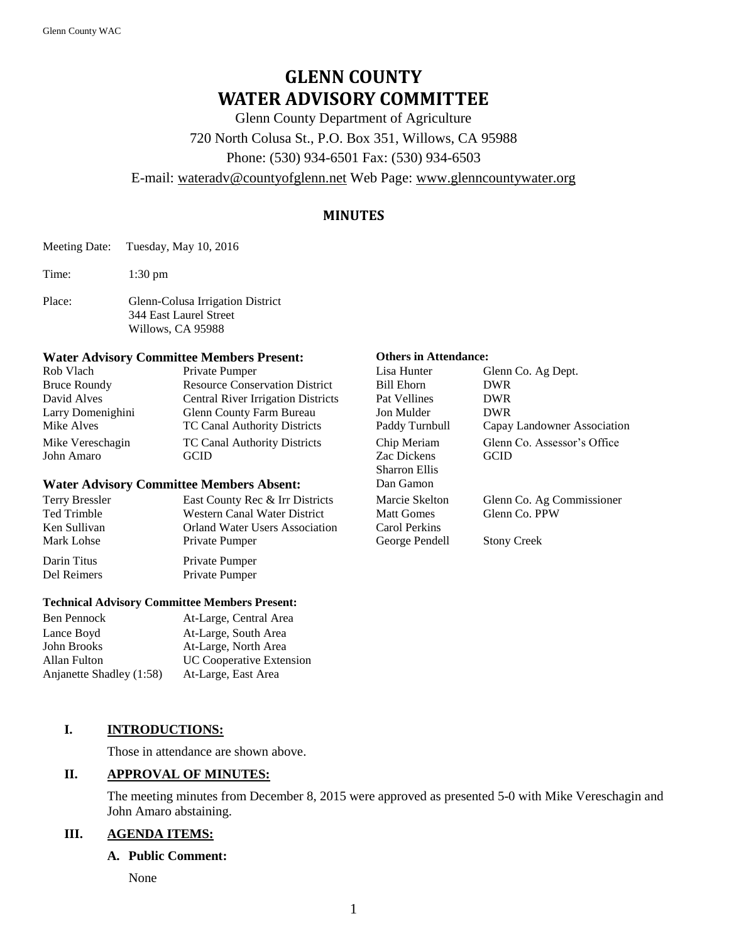# **GLENN COUNTY WATER ADVISORY COMMITTEE**

Glenn County Department of Agriculture

720 North Colusa St., P.O. Box 351, Willows, CA 95988

Phone: (530) 934-6501 Fax: (530) 934-6503

### E-mail: [wateradv@countyofglenn.net](mailto:wateradv@countyofglenn.net) Web Page: [www.glenncountywater.org](http://www.glenncountywater.org/)

# **MINUTES**

Meeting Date: Tuesday, May 10, 2016

Time: 1:30 pm

Place: Glenn-Colusa Irrigation District 344 East Laurel Street Willows, CA 95988

#### **Water Advisory Committee Members Present: Others in Attendance:**

| Private Pumper                            | Lisa Hunter                       | Glenn Co. Ag Dept.                         |
|-------------------------------------------|-----------------------------------|--------------------------------------------|
| <b>Resource Conservation District</b>     | Bill Ehorn                        | <b>DWR</b>                                 |
| <b>Central River Irrigation Districts</b> | Pat Vellines                      | DWR.                                       |
| Glenn County Farm Bureau                  | Jon Mulder                        | <b>DWR</b>                                 |
| TC Canal Authority Districts              | Paddy Turnbull                    | Capay Landowner Association                |
| TC Canal Authority Districts<br>GCID      | Chip Meriam<br><b>Zac Dickens</b> | Glenn Co. Assessor's Office<br><b>GCID</b> |
|                                           |                                   |                                            |

#### **Water Advisory Committee Members Absent:**

| Terry Bressler | East County Rec & Irr Districts       | Marcie Skelton    | Glenn Co. Ag Commissioner |
|----------------|---------------------------------------|-------------------|---------------------------|
| Ted Trimble    | Western Canal Water District          | <b>Matt Gomes</b> | Glenn Co. PPW             |
| Ken Sullivan   | <b>Orland Water Users Association</b> | Carol Perkins     |                           |
| Mark Lohse     | Private Pumper                        | George Pendell    | <b>Stony Creek</b>        |
| Darin Titus    | Private Pumper                        |                   |                           |
| Del Reimers    | Private Pumper                        |                   |                           |

#### **Technical Advisory Committee Members Present:**

| At-Large, Central Area          |
|---------------------------------|
| At-Large, South Area            |
| At-Large, North Area            |
| <b>UC Cooperative Extension</b> |
| At-Large, East Area             |
|                                 |

### **I. INTRODUCTIONS:**

Those in attendance are shown above.

### **II. APPROVAL OF MINUTES:**

The meeting minutes from December 8, 2015 were approved as presented 5-0 with Mike Vereschagin and John Amaro abstaining.

### **III. AGENDA ITEMS:**

#### **A. Public Comment:**

None

| Lisa Hunter          | Glenn Co. Ag Dept.          |
|----------------------|-----------------------------|
| Bill Ehorn           | <b>DWR</b>                  |
| Pat Vellines         | <b>DWR</b>                  |
| Jon Mulder           | <b>DWR</b>                  |
| Paddy Turnbull       | Capay Landowner Association |
| Chip Meriam          | Glenn Co. Assessor's Office |
| <b>Zac Dickens</b>   | GCID                        |
| <b>Sharron Ellis</b> |                             |
| Dan Gamon            |                             |
| Marcie Skelton       | Glenn Co. Ag Commissioner   |
| <b>Matt Gomes</b>    | Glenn Co. PPW               |
| Carol Perkins        |                             |
| George Pendell       | <b>Stony Creek</b>          |
|                      |                             |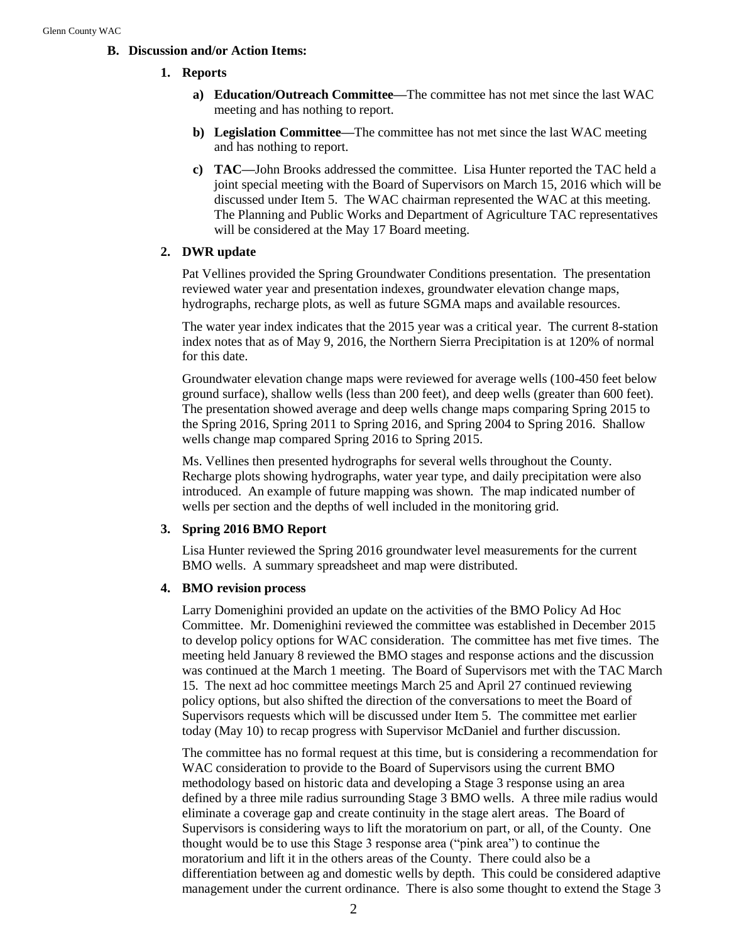#### **B. Discussion and/or Action Items:**

#### **1. Reports**

- **a) Education/Outreach Committee—**The committee has not met since the last WAC meeting and has nothing to report.
- **b) Legislation Committee—**The committee has not met since the last WAC meeting and has nothing to report.
- **c) TAC—**John Brooks addressed the committee. Lisa Hunter reported the TAC held a joint special meeting with the Board of Supervisors on March 15, 2016 which will be discussed under Item 5. The WAC chairman represented the WAC at this meeting. The Planning and Public Works and Department of Agriculture TAC representatives will be considered at the May 17 Board meeting.

#### **2. DWR update**

Pat Vellines provided the Spring Groundwater Conditions presentation. The presentation reviewed water year and presentation indexes, groundwater elevation change maps, hydrographs, recharge plots, as well as future SGMA maps and available resources.

The water year index indicates that the 2015 year was a critical year. The current 8-station index notes that as of May 9, 2016, the Northern Sierra Precipitation is at 120% of normal for this date.

Groundwater elevation change maps were reviewed for average wells (100-450 feet below ground surface), shallow wells (less than 200 feet), and deep wells (greater than 600 feet). The presentation showed average and deep wells change maps comparing Spring 2015 to the Spring 2016, Spring 2011 to Spring 2016, and Spring 2004 to Spring 2016. Shallow wells change map compared Spring 2016 to Spring 2015.

Ms. Vellines then presented hydrographs for several wells throughout the County. Recharge plots showing hydrographs, water year type, and daily precipitation were also introduced. An example of future mapping was shown. The map indicated number of wells per section and the depths of well included in the monitoring grid.

#### **3. Spring 2016 BMO Report**

Lisa Hunter reviewed the Spring 2016 groundwater level measurements for the current BMO wells. A summary spreadsheet and map were distributed.

#### **4. BMO revision process**

Larry Domenighini provided an update on the activities of the BMO Policy Ad Hoc Committee. Mr. Domenighini reviewed the committee was established in December 2015 to develop policy options for WAC consideration. The committee has met five times. The meeting held January 8 reviewed the BMO stages and response actions and the discussion was continued at the March 1 meeting. The Board of Supervisors met with the TAC March 15. The next ad hoc committee meetings March 25 and April 27 continued reviewing policy options, but also shifted the direction of the conversations to meet the Board of Supervisors requests which will be discussed under Item 5. The committee met earlier today (May 10) to recap progress with Supervisor McDaniel and further discussion.

The committee has no formal request at this time, but is considering a recommendation for WAC consideration to provide to the Board of Supervisors using the current BMO methodology based on historic data and developing a Stage 3 response using an area defined by a three mile radius surrounding Stage 3 BMO wells. A three mile radius would eliminate a coverage gap and create continuity in the stage alert areas. The Board of Supervisors is considering ways to lift the moratorium on part, or all, of the County. One thought would be to use this Stage 3 response area ("pink area") to continue the moratorium and lift it in the others areas of the County. There could also be a differentiation between ag and domestic wells by depth. This could be considered adaptive management under the current ordinance. There is also some thought to extend the Stage 3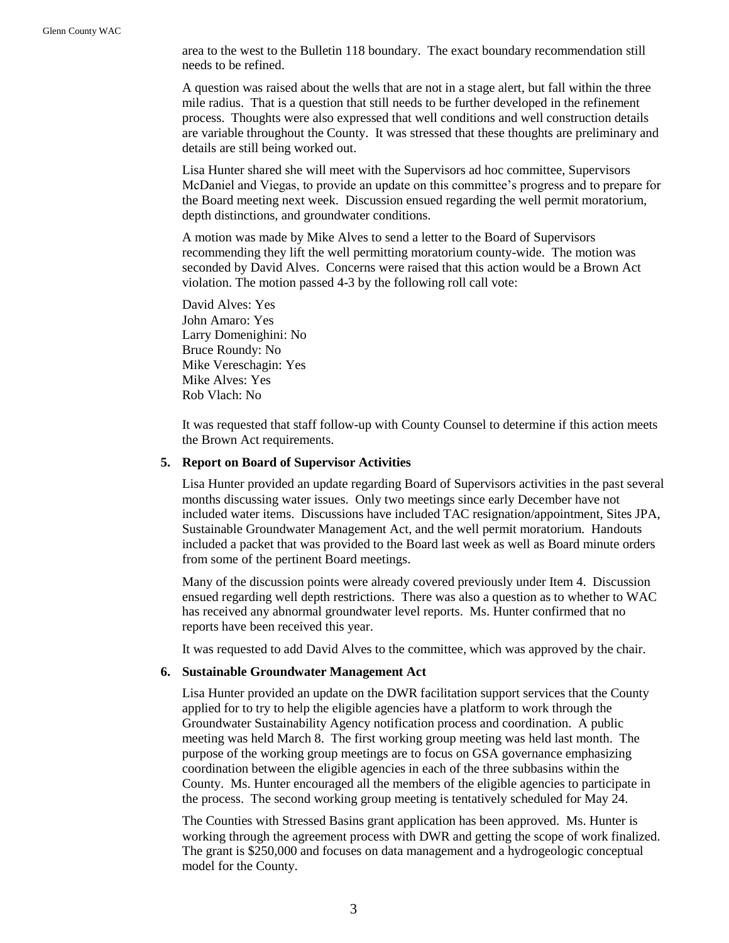area to the west to the Bulletin 118 boundary. The exact boundary recommendation still needs to be refined.

A question was raised about the wells that are not in a stage alert, but fall within the three mile radius. That is a question that still needs to be further developed in the refinement process. Thoughts were also expressed that well conditions and well construction details are variable throughout the County. It was stressed that these thoughts are preliminary and details are still being worked out.

Lisa Hunter shared she will meet with the Supervisors ad hoc committee, Supervisors McDaniel and Viegas, to provide an update on this committee's progress and to prepare for the Board meeting next week. Discussion ensued regarding the well permit moratorium, depth distinctions, and groundwater conditions.

A motion was made by Mike Alves to send a letter to the Board of Supervisors recommending they lift the well permitting moratorium county-wide. The motion was seconded by David Alves. Concerns were raised that this action would be a Brown Act violation. The motion passed 4-3 by the following roll call vote:

David Alves: Yes John Amaro: Yes Larry Domenighini: No Bruce Roundy: No Mike Vereschagin: Yes Mike Alves: Yes Rob Vlach: No

It was requested that staff follow-up with County Counsel to determine if this action meets the Brown Act requirements.

#### **5. Report on Board of Supervisor Activities**

Lisa Hunter provided an update regarding Board of Supervisors activities in the past several months discussing water issues. Only two meetings since early December have not included water items. Discussions have included TAC resignation/appointment, Sites JPA, Sustainable Groundwater Management Act, and the well permit moratorium. Handouts included a packet that was provided to the Board last week as well as Board minute orders from some of the pertinent Board meetings.

Many of the discussion points were already covered previously under Item 4. Discussion ensued regarding well depth restrictions. There was also a question as to whether to WAC has received any abnormal groundwater level reports. Ms. Hunter confirmed that no reports have been received this year.

It was requested to add David Alves to the committee, which was approved by the chair.

#### **6. Sustainable Groundwater Management Act**

Lisa Hunter provided an update on the DWR facilitation support services that the County applied for to try to help the eligible agencies have a platform to work through the Groundwater Sustainability Agency notification process and coordination. A public meeting was held March 8. The first working group meeting was held last month. The purpose of the working group meetings are to focus on GSA governance emphasizing coordination between the eligible agencies in each of the three subbasins within the County. Ms. Hunter encouraged all the members of the eligible agencies to participate in the process. The second working group meeting is tentatively scheduled for May 24.

The Counties with Stressed Basins grant application has been approved. Ms. Hunter is working through the agreement process with DWR and getting the scope of work finalized. The grant is \$250,000 and focuses on data management and a hydrogeologic conceptual model for the County.